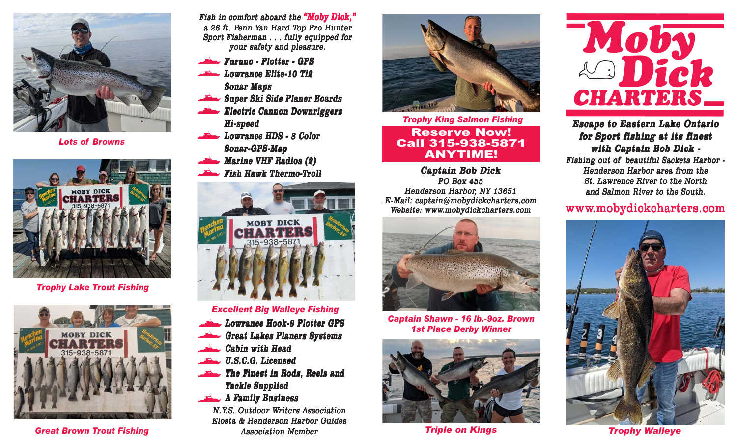

Lots of Browns



Trophy Lake Trout Fishing



Great Brown Trout Fishing

Fish in comfort aboard the "Moby Dick," a 26 ft. Penn Yan Hard Top Pro Hunter Sport Fisherman . . . fully equipped for your safety and pleasure.

- Furuno Plotter GPS
- Lowrance Elite-10 Ti2 Sonar Maps
- Super Ski Side Planer Boards
- Electric Cannon Downriggers Hi-speed
- Lowrance HDS 8 Color Sonar-GPS-Map
- Marine VHF Radios (2)
- Fish Hawk Thermo-Troll



## Excellent Big Walleye Fishing

- Lowrance Hook-9 Plotter GPS
- Great Lakes Planers Systems
- Cabin with Head
- U.S.C.G. Licensed
- The Finest in Rods, Reels and Tackle Supplied
- A Family Business

N.Y.S. Outdoor Writers Association Elosta & Henderson Harbor Guides Association Member



Trophy King Salmon Fishing Reserve Now! Call 315-938-5871 ANYTIME!

Captain Bob Dick PO Box 455 Henderson Harbor, NY 13651 E-Mail: captain@mobydickcharters.com Website: www.mobydickcharters.com



Captain Shawn - 16 lb.-9oz. Brown 1st Place Derby Winner



Triple on Kings



## Escape to Eastern Lake Ontario for Sport fishing at its finest with Captain Bob Dick -

Fishing out of beautiful Sackets Harbor - Henderson Harbor area from the St. Lawrence River to the North and Salmon River to the South.

## www.mobydickcharters.com



Trophy Walleye